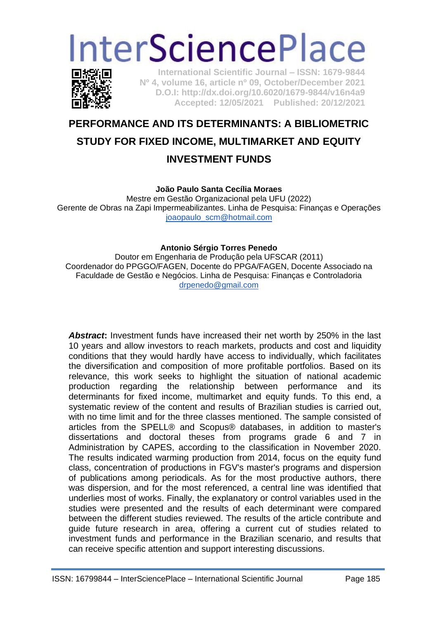# **InterSciencePlace**



**International Scientific Journal – ISSN: 1679-9844 Nº 4, volume 16, article nº 09, October/December 2021 D.O.I: http://dx.doi.org/10.6020/1679-9844/v16n4a9 Accepted: 12/05/2021 Published: 20/12/2021** 

## **PERFORMANCE AND ITS DETERMINANTS: A BIBLIOMETRIC STUDY FOR FIXED INCOME, MULTIMARKET AND EQUITY INVESTMENT FUNDS**

#### **João Paulo Santa Cecília Moraes**

Mestre em Gestão Organizacional pela UFU (2022) Gerente de Obras na Zapi Impermeabilizantes. Linha de Pesquisa: Finanças e Operações [joaopaulo\\_scm@hotmail.com](mailto:joaopaulo_scm@hotmail.com)

#### **Antonio Sérgio Torres Penedo**

Doutor em Engenharia de Produção pela UFSCAR (2011) Coordenador do PPGGO/FAGEN, Docente do PPGA/FAGEN, Docente Associado na Faculdade de Gestão e Negócios. Linha de Pesquisa: Finanças e Controladoria [drpenedo@gmail.com](mailto:drpenedo@gmail.com)

*Abstract***:** Investment funds have increased their net worth by 250% in the last 10 years and allow investors to reach markets, products and cost and liquidity conditions that they would hardly have access to individually, which facilitates the diversification and composition of more profitable portfolios. Based on its relevance, this work seeks to highlight the situation of national academic production regarding the relationship between performance and its determinants for fixed income, multimarket and equity funds. To this end, a systematic review of the content and results of Brazilian studies is carried out, with no time limit and for the three classes mentioned. The sample consisted of articles from the SPELL® and Scopus® databases, in addition to master's dissertations and doctoral theses from programs grade 6 and 7 in Administration by CAPES, according to the classification in November 2020. The results indicated warming production from 2014, focus on the equity fund class, concentration of productions in FGV's master's programs and dispersion of publications among periodicals. As for the most productive authors, there was dispersion, and for the most referenced, a central line was identified that underlies most of works. Finally, the explanatory or control variables used in the studies were presented and the results of each determinant were compared between the different studies reviewed. The results of the article contribute and guide future research in area, offering a current cut of studies related to investment funds and performance in the Brazilian scenario, and results that can receive specific attention and support interesting discussions.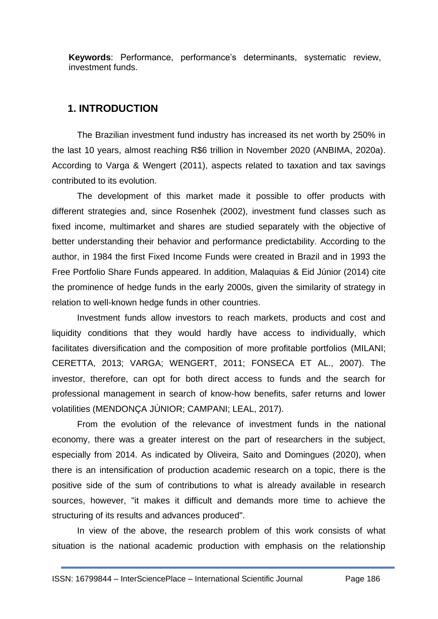**Keywords**: Performance, performance's determinants, systematic review, investment funds.

### **1. INTRODUCTION**

The Brazilian investment fund industry has increased its net worth by 250% in the last 10 years, almost reaching R\$6 trillion in November 2020 (ANBIMA, 2020a). According to Varga & Wengert (2011), aspects related to taxation and tax savings contributed to its evolution.

The development of this market made it possible to offer products with different strategies and, since Rosenhek (2002), investment fund classes such as fixed income, multimarket and shares are studied separately with the objective of better understanding their behavior and performance predictability. According to the author, in 1984 the first Fixed Income Funds were created in Brazil and in 1993 the Free Portfolio Share Funds appeared. In addition, Malaquias & Eid Júnior (2014) cite the prominence of hedge funds in the early 2000s, given the similarity of strategy in relation to well-known hedge funds in other countries.

Investment funds allow investors to reach markets, products and cost and liquidity conditions that they would hardly have access to individually, which facilitates diversification and the composition of more profitable portfolios (MILANI; CERETTA, 2013; VARGA; WENGERT, 2011; FONSECA ET AL., 2007). The investor, therefore, can opt for both direct access to funds and the search for professional management in search of know-how benefits, safer returns and lower volatilities (MENDONÇA JÚNIOR; CAMPANI; LEAL, 2017).

From the evolution of the relevance of investment funds in the national economy, there was a greater interest on the part of researchers in the subject, especially from 2014. As indicated by Oliveira, Saito and Domingues (2020), when there is an intensification of production academic research on a topic, there is the positive side of the sum of contributions to what is already available in research sources, however, "it makes it difficult and demands more time to achieve the structuring of its results and advances produced".

In view of the above, the research problem of this work consists of what situation is the national academic production with emphasis on the relationship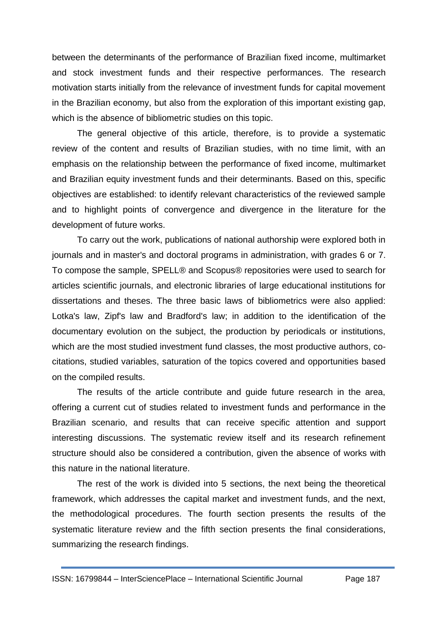between the determinants of the performance of Brazilian fixed income, multimarket and stock investment funds and their respective performances. The research motivation starts initially from the relevance of investment funds for capital movement in the Brazilian economy, but also from the exploration of this important existing gap, which is the absence of bibliometric studies on this topic.

The general objective of this article, therefore, is to provide a systematic review of the content and results of Brazilian studies, with no time limit, with an emphasis on the relationship between the performance of fixed income, multimarket and Brazilian equity investment funds and their determinants. Based on this, specific objectives are established: to identify relevant characteristics of the reviewed sample and to highlight points of convergence and divergence in the literature for the development of future works.

To carry out the work, publications of national authorship were explored both in journals and in master's and doctoral programs in administration, with grades 6 or 7. To compose the sample, SPELL® and Scopus® repositories were used to search for articles scientific journals, and electronic libraries of large educational institutions for dissertations and theses. The three basic laws of bibliometrics were also applied: Lotka's law, Zipf's law and Bradford's law; in addition to the identification of the documentary evolution on the subject, the production by periodicals or institutions, which are the most studied investment fund classes, the most productive authors, cocitations, studied variables, saturation of the topics covered and opportunities based on the compiled results.

The results of the article contribute and guide future research in the area, offering a current cut of studies related to investment funds and performance in the Brazilian scenario, and results that can receive specific attention and support interesting discussions. The systematic review itself and its research refinement structure should also be considered a contribution, given the absence of works with this nature in the national literature.

The rest of the work is divided into 5 sections, the next being the theoretical framework, which addresses the capital market and investment funds, and the next, the methodological procedures. The fourth section presents the results of the systematic literature review and the fifth section presents the final considerations, summarizing the research findings.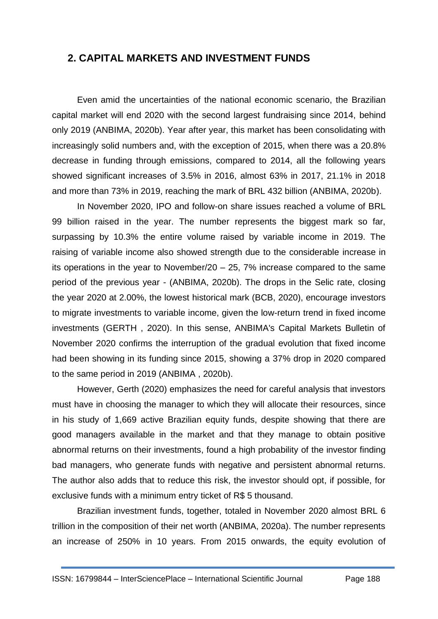## **2. CAPITAL MARKETS AND INVESTMENT FUNDS**

Even amid the uncertainties of the national economic scenario, the Brazilian capital market will end 2020 with the second largest fundraising since 2014, behind only 2019 (ANBIMA, 2020b). Year after year, this market has been consolidating with increasingly solid numbers and, with the exception of 2015, when there was a 20.8% decrease in funding through emissions, compared to 2014, all the following years showed significant increases of 3.5% in 2016, almost 63% in 2017, 21.1% in 2018 and more than 73% in 2019, reaching the mark of BRL 432 billion (ANBIMA, 2020b).

In November 2020, IPO and follow-on share issues reached a volume of BRL 99 billion raised in the year. The number represents the biggest mark so far, surpassing by 10.3% the entire volume raised by variable income in 2019. The raising of variable income also showed strength due to the considerable increase in its operations in the year to November/20 – 25, 7% increase compared to the same period of the previous year - (ANBIMA, 2020b). The drops in the Selic rate, closing the year 2020 at 2.00%, the lowest historical mark (BCB, 2020), encourage investors to migrate investments to variable income, given the low-return trend in fixed income investments (GERTH , 2020). In this sense, ANBIMA's Capital Markets Bulletin of November 2020 confirms the interruption of the gradual evolution that fixed income had been showing in its funding since 2015, showing a 37% drop in 2020 compared to the same period in 2019 (ANBIMA , 2020b).

However, Gerth (2020) emphasizes the need for careful analysis that investors must have in choosing the manager to which they will allocate their resources, since in his study of 1,669 active Brazilian equity funds, despite showing that there are good managers available in the market and that they manage to obtain positive abnormal returns on their investments, found a high probability of the investor finding bad managers, who generate funds with negative and persistent abnormal returns. The author also adds that to reduce this risk, the investor should opt, if possible, for exclusive funds with a minimum entry ticket of R\$ 5 thousand.

Brazilian investment funds, together, totaled in November 2020 almost BRL 6 trillion in the composition of their net worth (ANBIMA, 2020a). The number represents an increase of 250% in 10 years. From 2015 onwards, the equity evolution of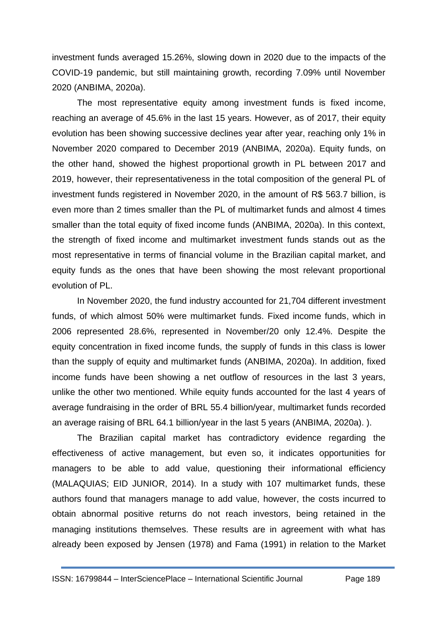investment funds averaged 15.26%, slowing down in 2020 due to the impacts of the COVID-19 pandemic, but still maintaining growth, recording 7.09% until November 2020 (ANBIMA, 2020a).

The most representative equity among investment funds is fixed income, reaching an average of 45.6% in the last 15 years. However, as of 2017, their equity evolution has been showing successive declines year after year, reaching only 1% in November 2020 compared to December 2019 (ANBIMA, 2020a). Equity funds, on the other hand, showed the highest proportional growth in PL between 2017 and 2019, however, their representativeness in the total composition of the general PL of investment funds registered in November 2020, in the amount of R\$ 563.7 billion, is even more than 2 times smaller than the PL of multimarket funds and almost 4 times smaller than the total equity of fixed income funds (ANBIMA, 2020a). In this context, the strength of fixed income and multimarket investment funds stands out as the most representative in terms of financial volume in the Brazilian capital market, and equity funds as the ones that have been showing the most relevant proportional evolution of PL.

In November 2020, the fund industry accounted for 21,704 different investment funds, of which almost 50% were multimarket funds. Fixed income funds, which in 2006 represented 28.6%, represented in November/20 only 12.4%. Despite the equity concentration in fixed income funds, the supply of funds in this class is lower than the supply of equity and multimarket funds (ANBIMA, 2020a). In addition, fixed income funds have been showing a net outflow of resources in the last 3 years, unlike the other two mentioned. While equity funds accounted for the last 4 years of average fundraising in the order of BRL 55.4 billion/year, multimarket funds recorded an average raising of BRL 64.1 billion/year in the last 5 years (ANBIMA, 2020a). ).

The Brazilian capital market has contradictory evidence regarding the effectiveness of active management, but even so, it indicates opportunities for managers to be able to add value, questioning their informational efficiency (MALAQUIAS; EID JUNIOR, 2014). In a study with 107 multimarket funds, these authors found that managers manage to add value, however, the costs incurred to obtain abnormal positive returns do not reach investors, being retained in the managing institutions themselves. These results are in agreement with what has already been exposed by Jensen (1978) and Fama (1991) in relation to the Market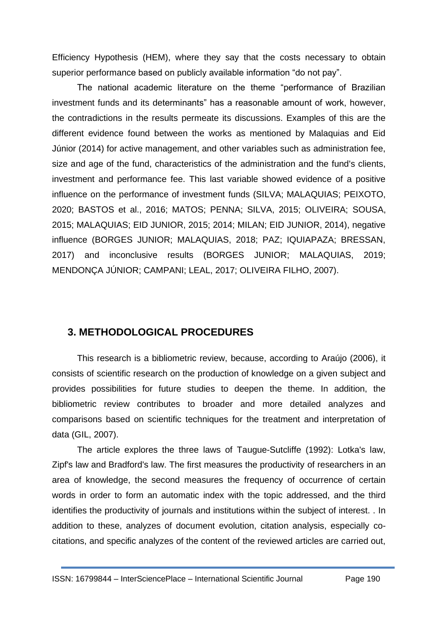Efficiency Hypothesis (HEM), where they say that the costs necessary to obtain superior performance based on publicly available information "do not pay".

The national academic literature on the theme "performance of Brazilian investment funds and its determinants" has a reasonable amount of work, however, the contradictions in the results permeate its discussions. Examples of this are the different evidence found between the works as mentioned by Malaquias and Eid Júnior (2014) for active management, and other variables such as administration fee, size and age of the fund, characteristics of the administration and the fund's clients, investment and performance fee. This last variable showed evidence of a positive influence on the performance of investment funds (SILVA; MALAQUIAS; PEIXOTO, 2020; BASTOS et al., 2016; MATOS; PENNA; SILVA, 2015; OLIVEIRA; SOUSA, 2015; MALAQUIAS; EID JUNIOR, 2015; 2014; MILAN; EID JUNIOR, 2014), negative influence (BORGES JUNIOR; MALAQUIAS, 2018; PAZ; IQUIAPAZA; BRESSAN, 2017) and inconclusive results (BORGES JUNIOR; MALAQUIAS, 2019; MENDONÇA JÚNIOR; CAMPANI; LEAL, 2017; OLIVEIRA FILHO, 2007).

## **3. METHODOLOGICAL PROCEDURES**

This research is a bibliometric review, because, according to Araújo (2006), it consists of scientific research on the production of knowledge on a given subject and provides possibilities for future studies to deepen the theme. In addition, the bibliometric review contributes to broader and more detailed analyzes and comparisons based on scientific techniques for the treatment and interpretation of data (GIL, 2007).

The article explores the three laws of Taugue-Sutcliffe (1992): Lotka's law, Zipf's law and Bradford's law. The first measures the productivity of researchers in an area of knowledge, the second measures the frequency of occurrence of certain words in order to form an automatic index with the topic addressed, and the third identifies the productivity of journals and institutions within the subject of interest. . In addition to these, analyzes of document evolution, citation analysis, especially cocitations, and specific analyzes of the content of the reviewed articles are carried out,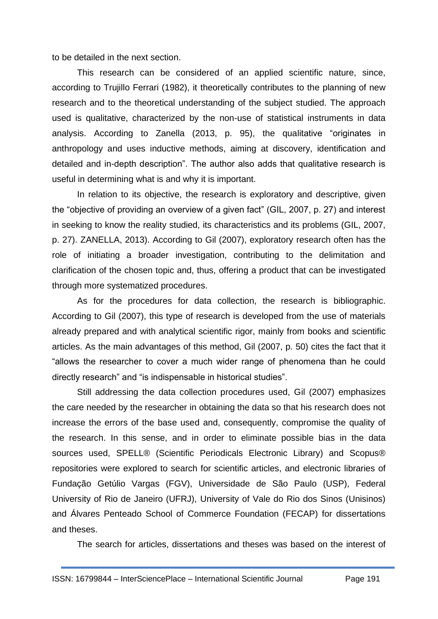to be detailed in the next section.

This research can be considered of an applied scientific nature, since, according to Trujillo Ferrari (1982), it theoretically contributes to the planning of new research and to the theoretical understanding of the subject studied. The approach used is qualitative, characterized by the non-use of statistical instruments in data analysis. According to Zanella (2013, p. 95), the qualitative "originates in anthropology and uses inductive methods, aiming at discovery, identification and detailed and in-depth description". The author also adds that qualitative research is useful in determining what is and why it is important.

In relation to its objective, the research is exploratory and descriptive, given the "objective of providing an overview of a given fact" (GIL, 2007, p. 27) and interest in seeking to know the reality studied, its characteristics and its problems (GIL, 2007, p. 27). ZANELLA, 2013). According to Gil (2007), exploratory research often has the role of initiating a broader investigation, contributing to the delimitation and clarification of the chosen topic and, thus, offering a product that can be investigated through more systematized procedures.

As for the procedures for data collection, the research is bibliographic. According to Gil (2007), this type of research is developed from the use of materials already prepared and with analytical scientific rigor, mainly from books and scientific articles. As the main advantages of this method, Gil (2007, p. 50) cites the fact that it "allows the researcher to cover a much wider range of phenomena than he could directly research" and "is indispensable in historical studies".

Still addressing the data collection procedures used, Gil (2007) emphasizes the care needed by the researcher in obtaining the data so that his research does not increase the errors of the base used and, consequently, compromise the quality of the research. In this sense, and in order to eliminate possible bias in the data sources used, SPELL® (Scientific Periodicals Electronic Library) and Scopus® repositories were explored to search for scientific articles, and electronic libraries of Fundação Getúlio Vargas (FGV), Universidade de São Paulo (USP), Federal University of Rio de Janeiro (UFRJ), University of Vale do Rio dos Sinos (Unisinos) and Álvares Penteado School of Commerce Foundation (FECAP) for dissertations and theses.

The search for articles, dissertations and theses was based on the interest of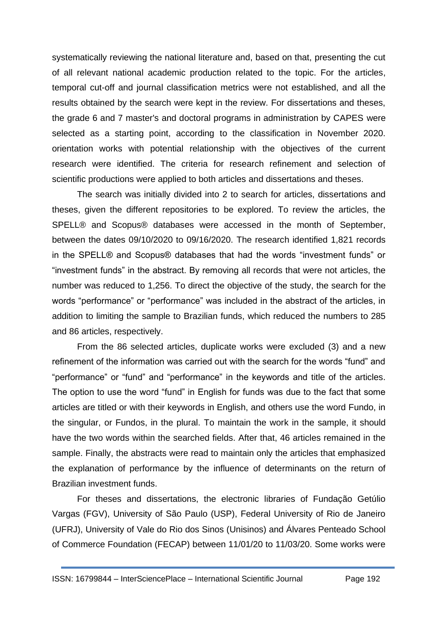systematically reviewing the national literature and, based on that, presenting the cut of all relevant national academic production related to the topic. For the articles, temporal cut-off and journal classification metrics were not established, and all the results obtained by the search were kept in the review. For dissertations and theses, the grade 6 and 7 master's and doctoral programs in administration by CAPES were selected as a starting point, according to the classification in November 2020. orientation works with potential relationship with the objectives of the current research were identified. The criteria for research refinement and selection of scientific productions were applied to both articles and dissertations and theses.

The search was initially divided into 2 to search for articles, dissertations and theses, given the different repositories to be explored. To review the articles, the SPELL® and Scopus® databases were accessed in the month of September, between the dates 09/10/2020 to 09/16/2020. The research identified 1,821 records in the SPELL® and Scopus® databases that had the words "investment funds" or "investment funds" in the abstract. By removing all records that were not articles, the number was reduced to 1,256. To direct the objective of the study, the search for the words "performance" or "performance" was included in the abstract of the articles, in addition to limiting the sample to Brazilian funds, which reduced the numbers to 285 and 86 articles, respectively.

From the 86 selected articles, duplicate works were excluded (3) and a new refinement of the information was carried out with the search for the words "fund" and "performance" or "fund" and "performance" in the keywords and title of the articles. The option to use the word "fund" in English for funds was due to the fact that some articles are titled or with their keywords in English, and others use the word Fundo, in the singular, or Fundos, in the plural. To maintain the work in the sample, it should have the two words within the searched fields. After that, 46 articles remained in the sample. Finally, the abstracts were read to maintain only the articles that emphasized the explanation of performance by the influence of determinants on the return of Brazilian investment funds.

For theses and dissertations, the electronic libraries of Fundação Getúlio Vargas (FGV), University of São Paulo (USP), Federal University of Rio de Janeiro (UFRJ), University of Vale do Rio dos Sinos (Unisinos) and Álvares Penteado School of Commerce Foundation (FECAP) between 11/01/20 to 11/03/20. Some works were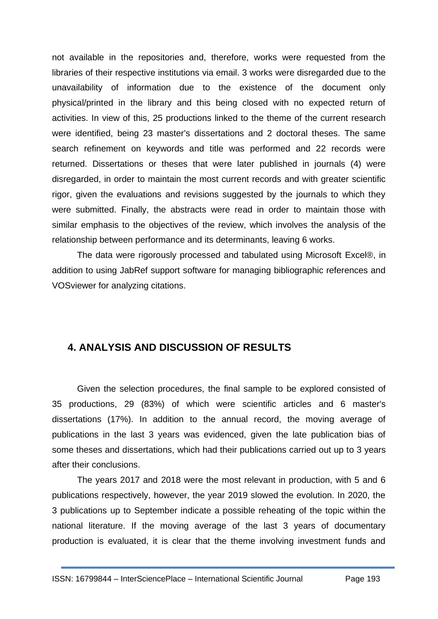not available in the repositories and, therefore, works were requested from the libraries of their respective institutions via email. 3 works were disregarded due to the unavailability of information due to the existence of the document only physical/printed in the library and this being closed with no expected return of activities. In view of this, 25 productions linked to the theme of the current research were identified, being 23 master's dissertations and 2 doctoral theses. The same search refinement on keywords and title was performed and 22 records were returned. Dissertations or theses that were later published in journals (4) were disregarded, in order to maintain the most current records and with greater scientific rigor, given the evaluations and revisions suggested by the journals to which they were submitted. Finally, the abstracts were read in order to maintain those with similar emphasis to the objectives of the review, which involves the analysis of the relationship between performance and its determinants, leaving 6 works.

The data were rigorously processed and tabulated using Microsoft Excel®, in addition to using JabRef support software for managing bibliographic references and VOSviewer for analyzing citations.

## **4. ANALYSIS AND DISCUSSION OF RESULTS**

Given the selection procedures, the final sample to be explored consisted of 35 productions, 29 (83%) of which were scientific articles and 6 master's dissertations (17%). In addition to the annual record, the moving average of publications in the last 3 years was evidenced, given the late publication bias of some theses and dissertations, which had their publications carried out up to 3 years after their conclusions.

The years 2017 and 2018 were the most relevant in production, with 5 and 6 publications respectively, however, the year 2019 slowed the evolution. In 2020, the 3 publications up to September indicate a possible reheating of the topic within the national literature. If the moving average of the last 3 years of documentary production is evaluated, it is clear that the theme involving investment funds and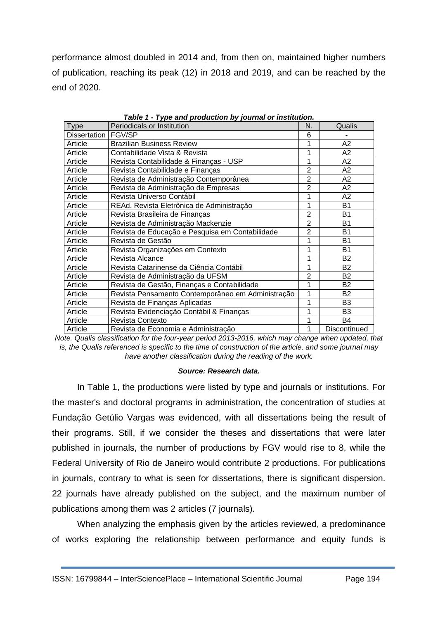performance almost doubled in 2014 and, from then on, maintained higher numbers of publication, reaching its peak (12) in 2018 and 2019, and can be reached by the end of 2020.

| <b>Type</b>  | Periodicals or Institution                                                                               | N. | Qualis         |
|--------------|----------------------------------------------------------------------------------------------------------|----|----------------|
| Dissertation | <b>FGV/SP</b>                                                                                            | 6  |                |
| Article      | <b>Brazilian Business Review</b>                                                                         |    | A2             |
| Article      | Contabilidade Vista & Revista                                                                            |    |                |
| Article      | Revista Contabilidade & Finanças - USP                                                                   |    | A2             |
| Article      | Revista Contabilidade e Finanças                                                                         |    | A2             |
| Article      | Revista de Administração Contemporânea                                                                   |    | A2             |
| Article      | Revista de Administração de Empresas                                                                     |    |                |
| Article      | Revista Universo Contábil                                                                                |    |                |
| Article      | REAd. Revista Eletrônica de Administração                                                                |    | B <sub>1</sub> |
| Article      | Revista Brasileira de Finanças                                                                           |    | <b>B1</b>      |
| Article      | Revista de Administração Mackenzie                                                                       |    | <b>B1</b>      |
| Article      | Revista de Educação e Pesquisa em Contabilidade<br>Revista de Gestão<br>Revista Organizações em Contexto |    | B <sub>1</sub> |
| Article      |                                                                                                          |    | <b>B1</b>      |
| Article      |                                                                                                          |    | <b>B1</b>      |
| Article      | Revista Alcance                                                                                          |    | B <sub>2</sub> |
| Article      | Revista Catarinense da Ciência Contábil                                                                  |    | B <sub>2</sub> |
| Article      | Revista de Administração da UFSM                                                                         |    | B <sub>2</sub> |
| Article      | Revista de Gestão, Finanças e Contabilidade                                                              |    | B <sub>2</sub> |
| Article      | Revista Pensamento Contemporâneo em Administração                                                        |    | <b>B2</b>      |
| Article      | Revista de Finanças Aplicadas                                                                            |    | B <sub>3</sub> |
| Article      | Revista Evidenciação Contábil & Finanças                                                                 |    | B <sub>3</sub> |
| Article      | Revista Contexto                                                                                         |    | B4             |
| Article      | Revista de Economia e Administração                                                                      | 1  | Discontinued   |

*Table 1 - Type and production by journal or institution.*

*Note. Qualis classification for the four-year period 2013-2016, which may change when updated, that is, the Qualis referenced is specific to the time of construction of the article, and some journal may have another classification during the reading of the work.*

#### *Source: Research data.*

In Table 1, the productions were listed by type and journals or institutions. For the master's and doctoral programs in administration, the concentration of studies at Fundação Getúlio Vargas was evidenced, with all dissertations being the result of their programs. Still, if we consider the theses and dissertations that were later published in journals, the number of productions by FGV would rise to 8, while the Federal University of Rio de Janeiro would contribute 2 productions. For publications in journals, contrary to what is seen for dissertations, there is significant dispersion. 22 journals have already published on the subject, and the maximum number of publications among them was 2 articles (7 journals).

When analyzing the emphasis given by the articles reviewed, a predominance of works exploring the relationship between performance and equity funds is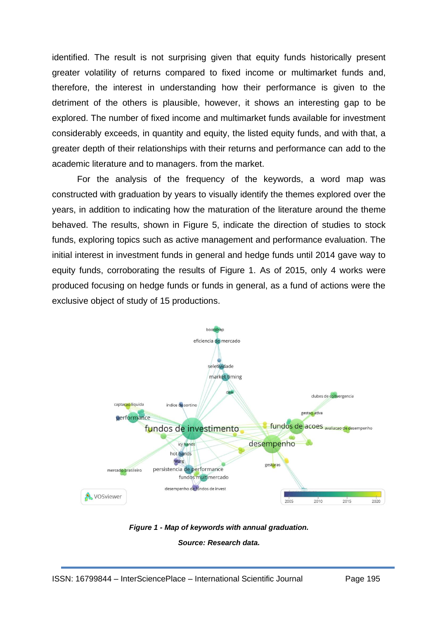identified. The result is not surprising given that equity funds historically present greater volatility of returns compared to fixed income or multimarket funds and, therefore, the interest in understanding how their performance is given to the detriment of the others is plausible, however, it shows an interesting gap to be explored. The number of fixed income and multimarket funds available for investment considerably exceeds, in quantity and equity, the listed equity funds, and with that, a greater depth of their relationships with their returns and performance can add to the academic literature and to managers. from the market.

For the analysis of the frequency of the keywords, a word map was constructed with graduation by years to visually identify the themes explored over the years, in addition to indicating how the maturation of the literature around the theme behaved. The results, shown in Figure 5, indicate the direction of studies to stock funds, exploring topics such as active management and performance evaluation. The initial interest in investment funds in general and hedge funds until 2014 gave way to equity funds, corroborating the results of Figure 1. As of 2015, only 4 works were produced focusing on hedge funds or funds in general, as a fund of actions were the exclusive object of study of 15 productions.



*Figure 1 - Map of keywords with annual graduation. Source: Research data.*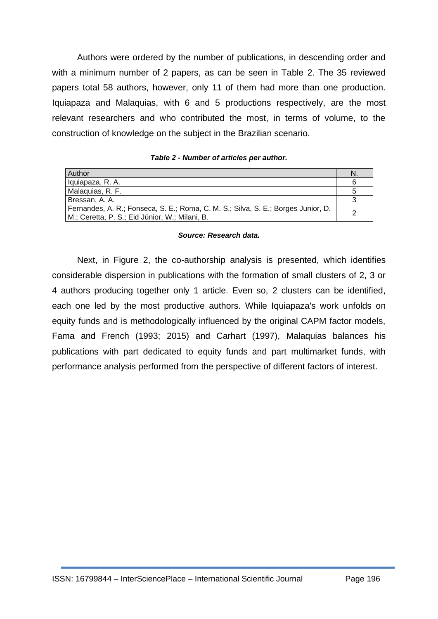Authors were ordered by the number of publications, in descending order and with a minimum number of 2 papers, as can be seen in Table 2. The 35 reviewed papers total 58 authors, however, only 11 of them had more than one production. Iquiapaza and Malaquias, with 6 and 5 productions respectively, are the most relevant researchers and who contributed the most, in terms of volume, to the construction of knowledge on the subject in the Brazilian scenario.

#### *Table 2 - Number of articles per author.*

| Author                                                                                                                              | N |
|-------------------------------------------------------------------------------------------------------------------------------------|---|
| Iquiapaza, R. A.                                                                                                                    |   |
| Malaquias, R. F.                                                                                                                    |   |
| Bressan, A. A.                                                                                                                      |   |
| Fernandes, A. R.; Fonseca, S. E.; Roma, C. M. S.; Silva, S. E.; Borges Junior, D.<br>M.; Ceretta, P. S.; Eid Júnior, W.; Milani, B. |   |

#### *Source: Research data.*

Next, in Figure 2, the co-authorship analysis is presented, which identifies considerable dispersion in publications with the formation of small clusters of 2, 3 or 4 authors producing together only 1 article. Even so, 2 clusters can be identified, each one led by the most productive authors. While Iquiapaza's work unfolds on equity funds and is methodologically influenced by the original CAPM factor models, Fama and French (1993; 2015) and Carhart (1997), Malaquias balances his publications with part dedicated to equity funds and part multimarket funds, with performance analysis performed from the perspective of different factors of interest.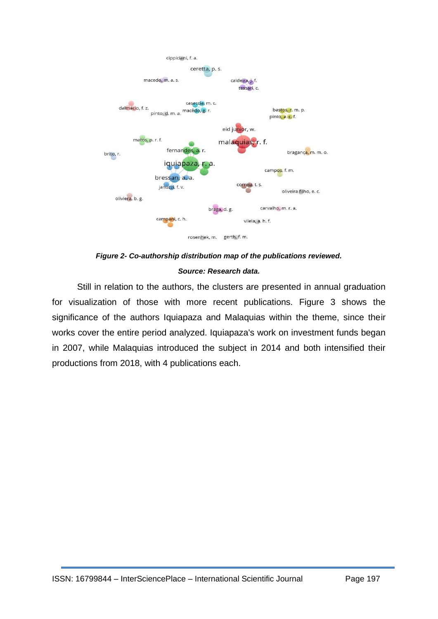

*Figure 2- Co-authorship distribution map of the publications reviewed. Source: Research data.*

Still in relation to the authors, the clusters are presented in annual graduation for visualization of those with more recent publications. Figure 3 shows the significance of the authors Iquiapaza and Malaquias within the theme, since their works cover the entire period analyzed. Iquiapaza's work on investment funds began in 2007, while Malaquias introduced the subject in 2014 and both intensified their productions from 2018, with 4 publications each.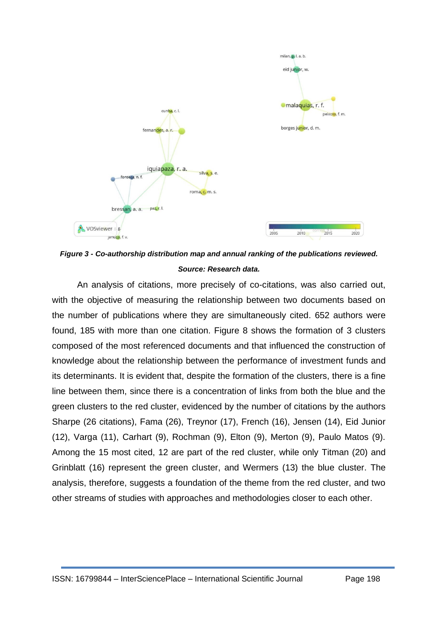

*Figure 3 - Co-authorship distribution map and annual ranking of the publications reviewed. Source: Research data.*

An analysis of citations, more precisely of co-citations, was also carried out, with the objective of measuring the relationship between two documents based on the number of publications where they are simultaneously cited. 652 authors were found, 185 with more than one citation. Figure 8 shows the formation of 3 clusters composed of the most referenced documents and that influenced the construction of knowledge about the relationship between the performance of investment funds and its determinants. It is evident that, despite the formation of the clusters, there is a fine line between them, since there is a concentration of links from both the blue and the green clusters to the red cluster, evidenced by the number of citations by the authors Sharpe (26 citations), Fama (26), Treynor (17), French (16), Jensen (14), Eid Junior (12), Varga (11), Carhart (9), Rochman (9), Elton (9), Merton (9), Paulo Matos (9). Among the 15 most cited, 12 are part of the red cluster, while only Titman (20) and Grinblatt (16) represent the green cluster, and Wermers (13) the blue cluster. The analysis, therefore, suggests a foundation of the theme from the red cluster, and two other streams of studies with approaches and methodologies closer to each other.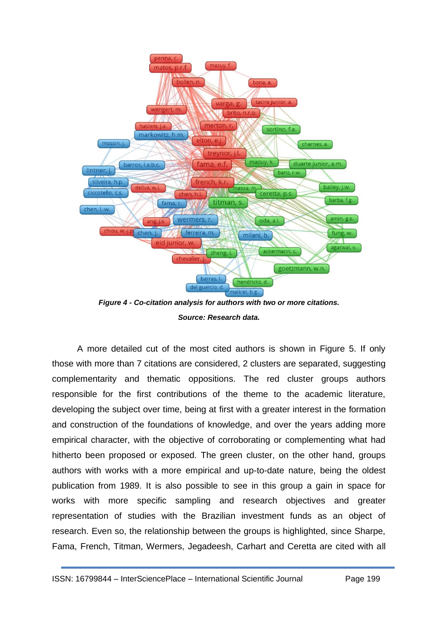

*Figure 4 - Co-citation analysis for authors with two or more citations. Source: Research data.*

A more detailed cut of the most cited authors is shown in Figure 5. If only those with more than 7 citations are considered, 2 clusters are separated, suggesting complementarity and thematic oppositions. The red cluster groups authors responsible for the first contributions of the theme to the academic literature, developing the subject over time, being at first with a greater interest in the formation and construction of the foundations of knowledge, and over the years adding more empirical character, with the objective of corroborating or complementing what had hitherto been proposed or exposed. The green cluster, on the other hand, groups authors with works with a more empirical and up-to-date nature, being the oldest publication from 1989. It is also possible to see in this group a gain in space for works with more specific sampling and research objectives and greater representation of studies with the Brazilian investment funds as an object of research. Even so, the relationship between the groups is highlighted, since Sharpe, Fama, French, Titman, Wermers, Jegadeesh, Carhart and Ceretta are cited with all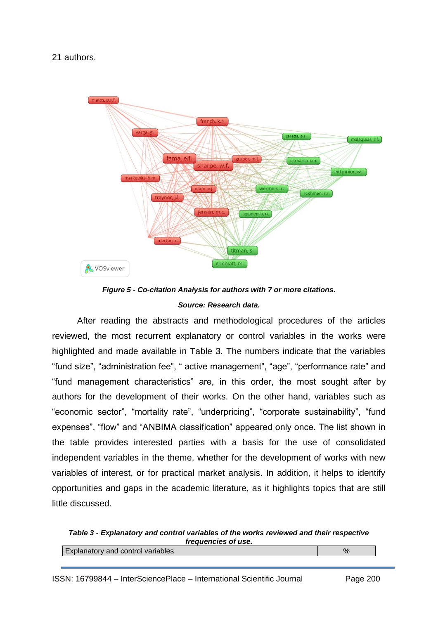21 authors.





After reading the abstracts and methodological procedures of the articles reviewed, the most recurrent explanatory or control variables in the works were highlighted and made available in Table 3. The numbers indicate that the variables "fund size", "administration fee", " active management", "age", "performance rate" and "fund management characteristics" are, in this order, the most sought after by authors for the development of their works. On the other hand, variables such as "economic sector", "mortality rate", "underpricing", "corporate sustainability", "fund expenses", "flow" and "ANBIMA classification" appeared only once. The list shown in the table provides interested parties with a basis for the use of consolidated independent variables in the theme, whether for the development of works with new variables of interest, or for practical market analysis. In addition, it helps to identify opportunities and gaps in the academic literature, as it highlights topics that are still little discussed.

*Table 3 - Explanatory and control variables of the works reviewed and their respective frequencies of use.* Explanatory and control variables  $\sim$  800 mm  $\sim$  800 mm  $\sim$  800 mm  $\sim$  800 mm  $\sim$  800 mm  $\sim$  800 mm  $\sim$  800 mm  $\sim$  800 mm  $\sim$  800 mm  $\sim$  800 mm  $\sim$  800 mm  $\sim$  800 mm  $\sim$  800 mm  $\sim$  800 mm  $\sim$  800 mm  $\sim$  800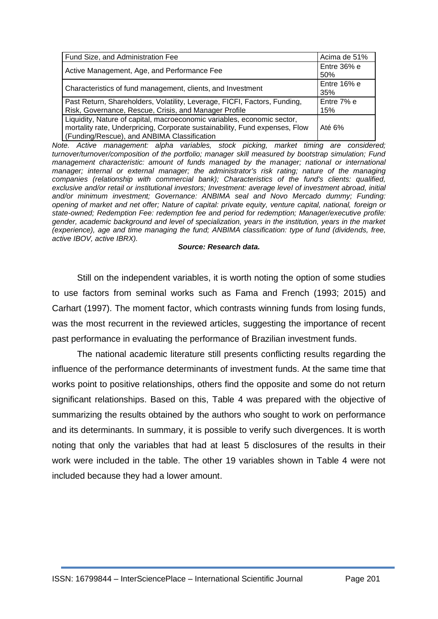| Fund Size, and Administration Fee                                                                                                                                                                     | Acima de 51%         |
|-------------------------------------------------------------------------------------------------------------------------------------------------------------------------------------------------------|----------------------|
| Active Management, Age, and Performance Fee                                                                                                                                                           | Entre 36% e<br>50%   |
| Characteristics of fund management, clients, and Investment                                                                                                                                           | Entre $16%$ e<br>35% |
| Past Return, Shareholders, Volatility, Leverage, FICFI, Factors, Funding,<br>Risk, Governance, Rescue, Crisis, and Manager Profile                                                                    | Entre 7% e<br>15%    |
| Liquidity, Nature of capital, macroeconomic variables, economic sector,<br>mortality rate, Underpricing, Corporate sustainability, Fund expenses, Flow<br>(Funding/Rescue), and ANBIMA Classification | Até 6%               |

*Note. Active management: alpha variables, stock picking, market timing are considered; turnover/turnover/composition of the portfolio; manager skill measured by bootstrap simulation; Fund management characteristic: amount of funds managed by the manager; national or international manager; internal or external manager; the administrator's risk rating; nature of the managing companies (relationship with commercial bank); Characteristics of the fund's clients: qualified, exclusive and/or retail or institutional investors; Investment: average level of investment abroad, initial and/or minimum investment; Governance: ANBIMA seal and Novo Mercado dummy; Funding: opening of market and net offer; Nature of capital: private equity, venture capital, national, foreign or state-owned; Redemption Fee: redemption fee and period for redemption; Manager/executive profile: gender, academic background and level of specialization, years in the institution, years in the market (experience), age and time managing the fund; ANBIMA classification: type of fund (dividends, free, active IBOV, active IBRX).*

#### *Source: Research data.*

Still on the independent variables, it is worth noting the option of some studies to use factors from seminal works such as Fama and French (1993; 2015) and Carhart (1997). The moment factor, which contrasts winning funds from losing funds, was the most recurrent in the reviewed articles, suggesting the importance of recent past performance in evaluating the performance of Brazilian investment funds.

The national academic literature still presents conflicting results regarding the influence of the performance determinants of investment funds. At the same time that works point to positive relationships, others find the opposite and some do not return significant relationships. Based on this, Table 4 was prepared with the objective of summarizing the results obtained by the authors who sought to work on performance and its determinants. In summary, it is possible to verify such divergences. It is worth noting that only the variables that had at least 5 disclosures of the results in their work were included in the table. The other 19 variables shown in Table 4 were not included because they had a lower amount.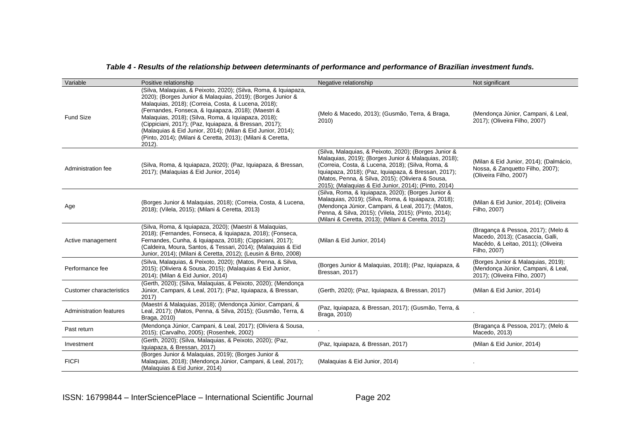#### *Table 4 - Results of the relationship between determinants of performance and performance of Brazilian investment funds.*

| Variable                        | Positive relationship                                                                                                                                                                                                                                                                                                                                                                                                                                                                                | Negative relationship                                                                                                                                                                                                                                                                                                                   | Not significant                                                                                                              |
|---------------------------------|------------------------------------------------------------------------------------------------------------------------------------------------------------------------------------------------------------------------------------------------------------------------------------------------------------------------------------------------------------------------------------------------------------------------------------------------------------------------------------------------------|-----------------------------------------------------------------------------------------------------------------------------------------------------------------------------------------------------------------------------------------------------------------------------------------------------------------------------------------|------------------------------------------------------------------------------------------------------------------------------|
| <b>Fund Size</b>                | (Silva, Malaquias, & Peixoto, 2020); (Silva, Roma, & Iquiapaza,<br>2020); (Borges Junior & Malaquias, 2019); (Borges Junior &<br>Malaquias, 2018); (Correia, Costa, & Lucena, 2018);<br>(Fernandes, Fonseca, & Iquiapaza, 2018); (Maestri &<br>Malaquias, 2018); (Silva, Roma, & Iquiapaza, 2018);<br>(Cippiciani, 2017); (Paz, Iquiapaza, & Bressan, 2017);<br>(Malaquias & Eid Junior, 2014); (Milan & Eid Junior, 2014);<br>(Pinto, 2014); (Milani & Ceretta, 2013); (Milani & Ceretta,<br>2012). | (Melo & Macedo, 2013); (Gusmão, Terra, & Braga,<br>2010                                                                                                                                                                                                                                                                                 | (Mendonça Júnior, Campani, & Leal,<br>2017); (Oliveira Filho, 2007)                                                          |
| Administration fee              | (Silva, Roma, & Iquiapaza, 2020); (Paz, Iquiapaza, & Bressan,<br>2017); (Malaquias & Eid Junior, 2014)                                                                                                                                                                                                                                                                                                                                                                                               | (Silva, Malaquias, & Peixoto, 2020); (Borges Junior &<br>Malaquias, 2019); (Borges Junior & Malaquias, 2018);<br>(Correia, Costa, & Lucena, 2018); (Silva, Roma, &<br>Iquiapaza, 2018); (Paz, Iquiapaza, & Bressan, 2017);<br>(Matos, Penna, & Silva, 2015); (Oliviera & Sousa,<br>2015); (Malaquias & Eid Junior, 2014); (Pinto, 2014) | (Milan & Eid Junior, 2014); (Dalmácio,<br>Nossa, & Zanquetto Filho, 2007);<br>(Oliveira Filho, 2007)                         |
| Age                             | (Borges Junior & Malaquias, 2018); (Correia, Costa, & Lucena,<br>2018); (Vilela, 2015); (Milani & Ceretta, 2013)                                                                                                                                                                                                                                                                                                                                                                                     | (Silva, Roma, & Iquiapaza, 2020); (Borges Junior &<br>Malaquias, 2019); (Silva, Roma, & Iquiapaza, 2018);<br>(Mendonça Júnior, Campani, & Leal, 2017); (Matos,<br>Penna, & Silva, 2015); (Vilela, 2015); (Pinto, 2014);<br>(Milani & Ceretta, 2013); (Milani & Ceretta, 2012)                                                           | (Milan & Eid Junior, 2014); (Oliveira<br>Filho, 2007)                                                                        |
| Active management               | (Silva, Roma, & Iquiapaza, 2020); (Maestri & Malaquias,<br>2018); (Fernandes, Fonseca, & Iquiapaza, 2018); (Fonseca,<br>Fernandes, Cunha, & Iquiapaza, 2018); (Cippiciani, 2017);<br>(Caldeira, Moura, Santos, & Tessari, 2014); (Malaquias & Eid<br>Junior, 2014); (Milani & Ceretta, 2012); (Leusin & Brito, 2008)                                                                                                                                                                                 | (Milan & Eid Junior, 2014)                                                                                                                                                                                                                                                                                                              | (Bragança & Pessoa, 2017); (Melo &<br>Macedo, 2013); (Casaccia, Galli,<br>Macêdo, & Leitao, 2011); (Oliveira<br>Filho, 2007) |
| Performance fee                 | (Silva, Malaquias, & Peixoto, 2020); (Matos, Penna, & Silva,<br>2015); (Oliviera & Sousa, 2015); (Malaquias & Eid Junior,<br>2014); (Milan & Eid Junior, 2014)                                                                                                                                                                                                                                                                                                                                       | (Borges Junior & Malaquias, 2018); (Paz, Iquiapaza, &<br>Bressan, 2017)                                                                                                                                                                                                                                                                 | (Borges Junior & Malaquias, 2019);<br>(Mendonça Júnior, Campani, & Leal,<br>2017); (Oliveira Filho, 2007)                    |
| <b>Customer characteristics</b> | (Gerth, 2020); (Silva, Malaquias, & Peixoto, 2020); (Mendonça<br>Júnior, Campani, & Leal, 2017); (Paz, Iquiapaza, & Bressan,<br>2017)                                                                                                                                                                                                                                                                                                                                                                | (Gerth, 2020); (Paz, Iquiapaza, & Bressan, 2017)                                                                                                                                                                                                                                                                                        | (Milan & Eid Junior, 2014)                                                                                                   |
| Administration features         | (Maestri & Malaquias, 2018); (Mendonça Júnior, Campani, &<br>Leal, 2017); (Matos, Penna, & Silva, 2015); (Gusmão, Terra, &<br>Braga, 2010)                                                                                                                                                                                                                                                                                                                                                           | (Paz, Iquiapaza, & Bressan, 2017); (Gusmão, Terra, &<br>Braga, 2010)                                                                                                                                                                                                                                                                    |                                                                                                                              |
| Past return                     | (Mendonça Júnior, Campani, & Leal, 2017); (Oliviera & Sousa,<br>2015); (Carvalho, 2005); (Rosenhek, 2002)                                                                                                                                                                                                                                                                                                                                                                                            |                                                                                                                                                                                                                                                                                                                                         | (Bragança & Pessoa, 2017); (Melo &<br>Macedo, 2013)                                                                          |
| Investment                      | (Gerth, 2020); (Silva, Malaquias, & Peixoto, 2020); (Paz,<br>Iquiapaza, & Bressan, 2017)                                                                                                                                                                                                                                                                                                                                                                                                             | (Paz, Iquiapaza, & Bressan, 2017)                                                                                                                                                                                                                                                                                                       | (Milan & Eid Junior, 2014)                                                                                                   |
| <b>FICFI</b>                    | (Borges Junior & Malaquias, 2019); (Borges Junior &<br>Malaquias, 2018); (Mendonça Júnior, Campani, & Leal, 2017);<br>(Malaquias & Eid Junior, 2014)                                                                                                                                                                                                                                                                                                                                                 | (Malaguias & Eid Junior, 2014)                                                                                                                                                                                                                                                                                                          |                                                                                                                              |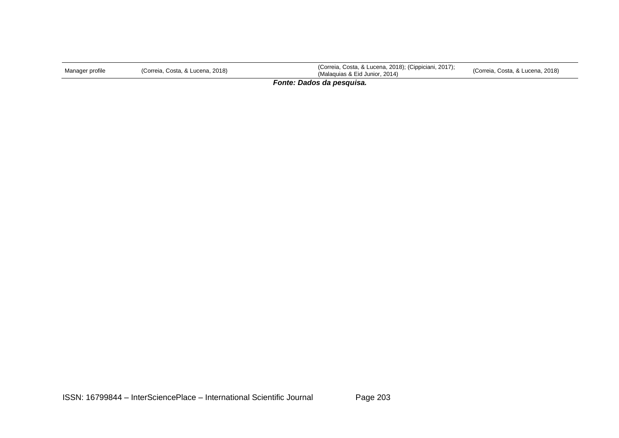| Manager profile | (Correia, Costa, & Lucena, 2018) | (Correia, Costa, & Lucena, 2018); (Cippiciani, 2017);<br>(Malaguias & Eid Junior, 2014) | (Correia, Costa, & Lucena, 2018) |  |  |  |
|-----------------|----------------------------------|-----------------------------------------------------------------------------------------|----------------------------------|--|--|--|
| __________      |                                  |                                                                                         |                                  |  |  |  |

*Fonte: Dados da pesquisa.*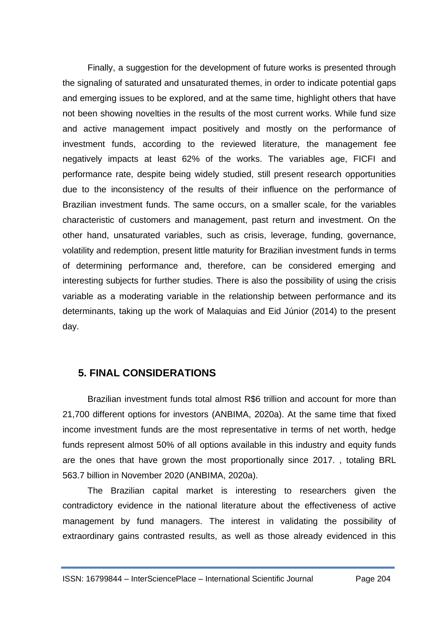Finally, a suggestion for the development of future works is presented through the signaling of saturated and unsaturated themes, in order to indicate potential gaps and emerging issues to be explored, and at the same time, highlight others that have not been showing novelties in the results of the most current works. While fund size and active management impact positively and mostly on the performance of investment funds, according to the reviewed literature, the management fee negatively impacts at least 62% of the works. The variables age, FICFI and performance rate, despite being widely studied, still present research opportunities due to the inconsistency of the results of their influence on the performance of Brazilian investment funds. The same occurs, on a smaller scale, for the variables characteristic of customers and management, past return and investment. On the other hand, unsaturated variables, such as crisis, leverage, funding, governance, volatility and redemption, present little maturity for Brazilian investment funds in terms of determining performance and, therefore, can be considered emerging and interesting subjects for further studies. There is also the possibility of using the crisis variable as a moderating variable in the relationship between performance and its determinants, taking up the work of Malaquias and Eid Júnior (2014) to the present day.

## **5. FINAL CONSIDERATIONS**

Brazilian investment funds total almost R\$6 trillion and account for more than 21,700 different options for investors (ANBIMA, 2020a). At the same time that fixed income investment funds are the most representative in terms of net worth, hedge funds represent almost 50% of all options available in this industry and equity funds are the ones that have grown the most proportionally since 2017. , totaling BRL 563.7 billion in November 2020 (ANBIMA, 2020a).

The Brazilian capital market is interesting to researchers given the contradictory evidence in the national literature about the effectiveness of active management by fund managers. The interest in validating the possibility of extraordinary gains contrasted results, as well as those already evidenced in this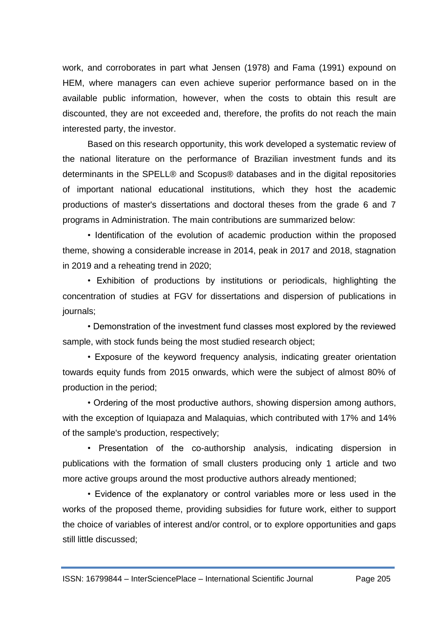work, and corroborates in part what Jensen (1978) and Fama (1991) expound on HEM, where managers can even achieve superior performance based on in the available public information, however, when the costs to obtain this result are discounted, they are not exceeded and, therefore, the profits do not reach the main interested party, the investor.

Based on this research opportunity, this work developed a systematic review of the national literature on the performance of Brazilian investment funds and its determinants in the SPELL® and Scopus® databases and in the digital repositories of important national educational institutions, which they host the academic productions of master's dissertations and doctoral theses from the grade 6 and 7 programs in Administration. The main contributions are summarized below:

• Identification of the evolution of academic production within the proposed theme, showing a considerable increase in 2014, peak in 2017 and 2018, stagnation in 2019 and a reheating trend in 2020;

• Exhibition of productions by institutions or periodicals, highlighting the concentration of studies at FGV for dissertations and dispersion of publications in journals;

• Demonstration of the investment fund classes most explored by the reviewed sample, with stock funds being the most studied research object;

• Exposure of the keyword frequency analysis, indicating greater orientation towards equity funds from 2015 onwards, which were the subject of almost 80% of production in the period;

• Ordering of the most productive authors, showing dispersion among authors, with the exception of Iquiapaza and Malaquias, which contributed with 17% and 14% of the sample's production, respectively;

• Presentation of the co-authorship analysis, indicating dispersion in publications with the formation of small clusters producing only 1 article and two more active groups around the most productive authors already mentioned;

• Evidence of the explanatory or control variables more or less used in the works of the proposed theme, providing subsidies for future work, either to support the choice of variables of interest and/or control, or to explore opportunities and gaps still little discussed;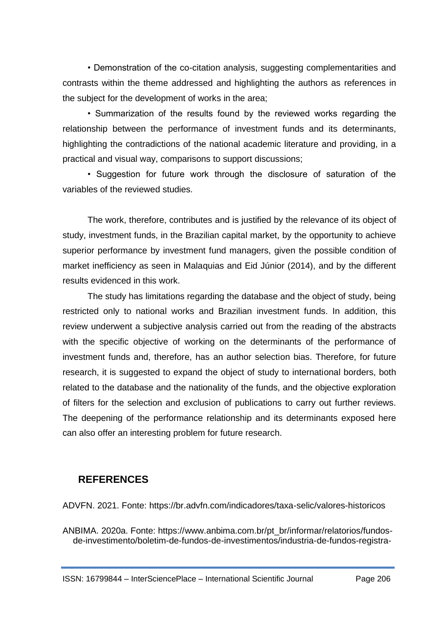• Demonstration of the co-citation analysis, suggesting complementarities and contrasts within the theme addressed and highlighting the authors as references in the subject for the development of works in the area;

• Summarization of the results found by the reviewed works regarding the relationship between the performance of investment funds and its determinants, highlighting the contradictions of the national academic literature and providing, in a practical and visual way, comparisons to support discussions;

• Suggestion for future work through the disclosure of saturation of the variables of the reviewed studies.

The work, therefore, contributes and is justified by the relevance of its object of study, investment funds, in the Brazilian capital market, by the opportunity to achieve superior performance by investment fund managers, given the possible condition of market inefficiency as seen in Malaquias and Eid Júnior (2014), and by the different results evidenced in this work.

The study has limitations regarding the database and the object of study, being restricted only to national works and Brazilian investment funds. In addition, this review underwent a subjective analysis carried out from the reading of the abstracts with the specific objective of working on the determinants of the performance of investment funds and, therefore, has an author selection bias. Therefore, for future research, it is suggested to expand the object of study to international borders, both related to the database and the nationality of the funds, and the objective exploration of filters for the selection and exclusion of publications to carry out further reviews. The deepening of the performance relationship and its determinants exposed here can also offer an interesting problem for future research.

## **REFERENCES**

ADVFN. 2021. Fonte: https://br.advfn.com/indicadores/taxa-selic/valores-historicos

ANBIMA. 2020a. Fonte: https://www.anbima.com.br/pt\_br/informar/relatorios/fundosde-investimento/boletim-de-fundos-de-investimentos/industria-de-fundos-registra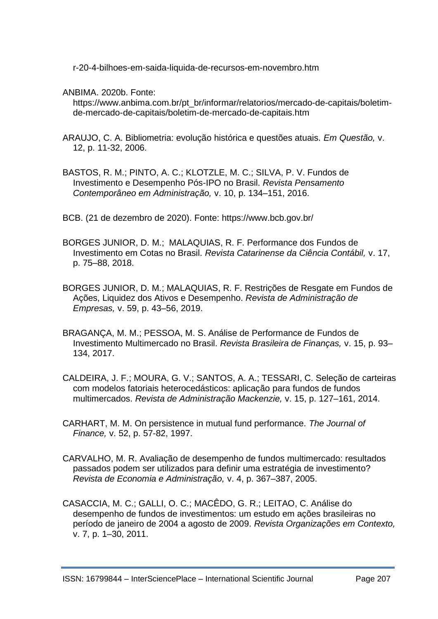r-20-4-bilhoes-em-saida-liquida-de-recursos-em-novembro.htm

ANBIMA. 2020b. Fonte:

https://www.anbima.com.br/pt\_br/informar/relatorios/mercado-de-capitais/boletimde-mercado-de-capitais/boletim-de-mercado-de-capitais.htm

- ARAUJO, C. A. Bibliometria: evolução histórica e questões atuais. *Em Questão,* v. 12, p. 11-32, 2006.
- BASTOS, R. M.; PINTO, A. C.; KLOTZLE, M. C.; SILVA, P. V. Fundos de Investimento e Desempenho Pós-IPO no Brasil. *Revista Pensamento Contemporâneo em Administração,* v. 10, p. 134–151, 2016.
- BCB. (21 de dezembro de 2020). Fonte: https://www.bcb.gov.br/
- BORGES JUNIOR, D. M.; MALAQUIAS, R. F. Performance dos Fundos de Investimento em Cotas no Brasil. *Revista Catarinense da Ciência Contábil,* v. 17, p. 75–88, 2018.
- BORGES JUNIOR, D. M.; MALAQUIAS, R. F. Restrições de Resgate em Fundos de Ações, Liquidez dos Ativos e Desempenho. *Revista de Administração de Empresas,* v. 59, p. 43–56, 2019.
- BRAGANÇA, M. M.; PESSOA, M. S. Análise de Performance de Fundos de Investimento Multimercado no Brasil. *Revista Brasileira de Finanças,* v. 15, p. 93– 134, 2017.
- CALDEIRA, J. F.; MOURA, G. V.; SANTOS, A. A.; TESSARI, C. Seleção de carteiras com modelos fatoriais heterocedásticos: aplicação para fundos de fundos multimercados. *Revista de Administração Mackenzie,* v. 15, p. 127–161, 2014.
- CARHART, M. M. On persistence in mutual fund performance. *The Journal of Finance,* v. 52, p. 57-82, 1997.
- CARVALHO, M. R. Avaliação de desempenho de fundos multimercado: resultados passados podem ser utilizados para definir uma estratégia de investimento? *Revista de Economia e Administração,* v. 4, p. 367–387, 2005.
- CASACCIA, M. C.; GALLI, O. C.; MACÊDO, G. R.; LEITAO, C. Análise do desempenho de fundos de investimentos: um estudo em ações brasileiras no período de janeiro de 2004 a agosto de 2009. *Revista Organizações em Contexto,*  v. 7, p. 1–30, 2011.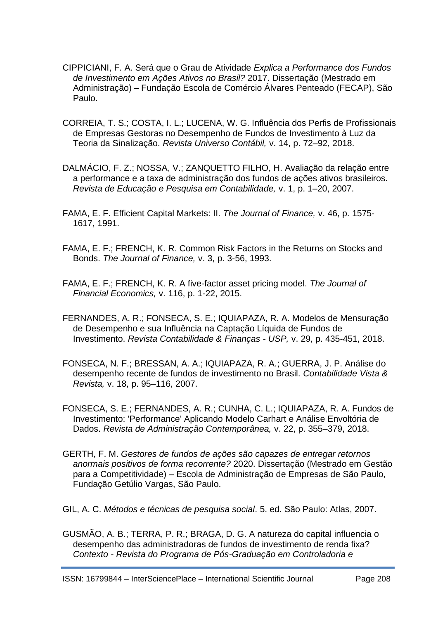- CIPPICIANI, F. A. Será que o Grau de Atividade *Explica a Performance dos Fundos de Investimento em Ações Ativos no Brasil?* 2017. Dissertação (Mestrado em Administração) – Fundação Escola de Comércio Álvares Penteado (FECAP), São Paulo.
- CORREIA, T. S.; COSTA, I. L.; LUCENA, W. G. Influência dos Perfis de Profissionais de Empresas Gestoras no Desempenho de Fundos de Investimento à Luz da Teoria da Sinalização. *Revista Universo Contábil,* v. 14, p. 72–92, 2018.
- DALMÁCIO, F. Z.; NOSSA, V.; ZANQUETTO FILHO, H. Avaliação da relação entre a performance e a taxa de administração dos fundos de ações ativos brasileiros. *Revista de Educação e Pesquisa em Contabilidade,* v. 1, p. 1–20, 2007.
- FAMA, E. F. Efficient Capital Markets: II. *The Journal of Finance,* v. 46, p. 1575- 1617, 1991.
- FAMA, E. F.; FRENCH, K. R. Common Risk Factors in the Returns on Stocks and Bonds. *The Journal of Finance,* v. 3, p. 3-56, 1993.
- FAMA, E. F.; FRENCH, K. R. A five-factor asset pricing model. *The Journal of Financial Economics,* v. 116, p. 1-22, 2015.
- FERNANDES, A. R.; FONSECA, S. E.; IQUIAPAZA, R. A. Modelos de Mensuração de Desempenho e sua Influência na Captação Líquida de Fundos de Investimento. *Revista Contabilidade & Finanças - USP,* v. 29, p. 435-451, 2018.
- FONSECA, N. F.; BRESSAN, A. A.; IQUIAPAZA, R. A.; GUERRA, J. P. Análise do desempenho recente de fundos de investimento no Brasil. *Contabilidade Vista & Revista,* v. 18, p. 95–116, 2007.
- FONSECA, S. E.; FERNANDES, A. R.; CUNHA, C. L.; IQUIAPAZA, R. A. Fundos de Investimento: 'Performance' Aplicando Modelo Carhart e Análise Envoltória de Dados. *Revista de Administração Contemporânea,* v. 22, p. 355–379, 2018.
- GERTH, F. M. *Gestores de fundos de ações são capazes de entregar retornos anormais positivos de forma recorrente?* 2020. Dissertação (Mestrado em Gestão para a Competitividade) – Escola de Administração de Empresas de São Paulo, Fundação Getúlio Vargas, São Paulo.
- GIL, A. C. *Métodos e técnicas de pesquisa social*. 5. ed. São Paulo: Atlas, 2007.
- GUSMÃO, A. B.; TERRA, P. R.; BRAGA, D. G. A natureza do capital influencia o desempenho das administradoras de fundos de investimento de renda fixa? *Contexto - Revista do Programa de Pós-Graduação em Controladoria e*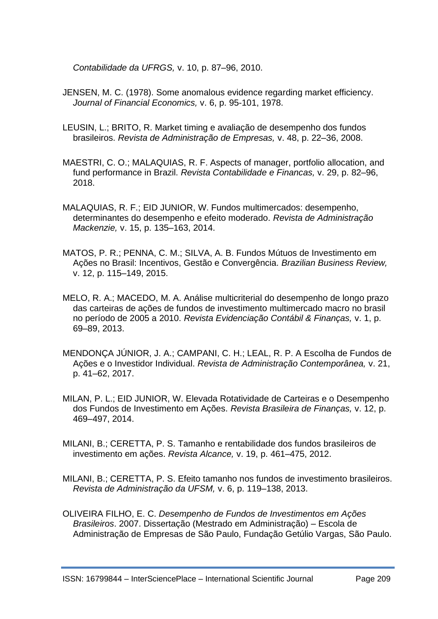*Contabilidade da UFRGS,* v. 10, p. 87–96, 2010.

- JENSEN, M. C. (1978). Some anomalous evidence regarding market efficiency. *Journal of Financial Economics,* v. 6, p. 95-101, 1978.
- LEUSIN, L.; BRITO, R. Market timing e avaliação de desempenho dos fundos brasileiros. *Revista de Administração de Empresas,* v. 48, p. 22–36, 2008.
- MAESTRI, C. O.; MALAQUIAS, R. F. Aspects of manager, portfolio allocation, and fund performance in Brazil. *Revista Contabilidade e Financas,* v. 29, p. 82–96, 2018.
- MALAQUIAS, R. F.; EID JUNIOR, W. Fundos multimercados: desempenho, determinantes do desempenho e efeito moderado. *Revista de Administração Mackenzie,* v. 15, p. 135–163, 2014.
- MATOS, P. R.; PENNA, C. M.; SILVA, A. B. Fundos Mútuos de Investimento em Ações no Brasil: Incentivos, Gestão e Convergência. *Brazilian Business Review,*  v. 12, p. 115–149, 2015.
- MELO, R. A.; MACEDO, M. A. Análise multicriterial do desempenho de longo prazo das carteiras de ações de fundos de investimento multimercado macro no brasil no período de 2005 a 2010. *Revista Evidenciação Contábil & Finanças,* v. 1, p. 69–89, 2013.
- MENDONÇA JÚNIOR, J. A.; CAMPANI, C. H.; LEAL, R. P. A Escolha de Fundos de Ações e o Investidor Individual. *Revista de Administração Contemporânea,* v. 21, p. 41–62, 2017.
- MILAN, P. L.; EID JUNIOR, W. Elevada Rotatividade de Carteiras e o Desempenho dos Fundos de Investimento em Ações. *Revista Brasileira de Finanças,* v. 12, p. 469–497, 2014.
- MILANI, B.; CERETTA, P. S. Tamanho e rentabilidade dos fundos brasileiros de investimento em ações. *Revista Alcance,* v. 19, p. 461–475, 2012.
- MILANI, B.; CERETTA, P. S. Efeito tamanho nos fundos de investimento brasileiros. *Revista de Administração da UFSM,* v. 6, p. 119–138, 2013.
- OLIVEIRA FILHO, E. C. *Desempenho de Fundos de Investimentos em Ações Brasileiros*. 2007. Dissertação (Mestrado em Administração) – Escola de Administração de Empresas de São Paulo, Fundação Getúlio Vargas, São Paulo.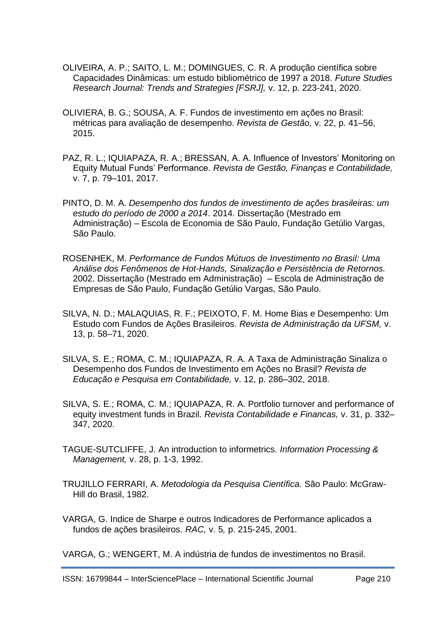- OLIVEIRA, A. P.; SAITO, L. M.; DOMINGUES, C. R. A produção científica sobre Capacidades Dinâmicas: um estudo bibliométrico de 1997 a 2018. *Future Studies Research Journal: Trends and Strategies [FSRJ],* v. 12, p. 223-241, 2020.
- OLIVIERA, B. G.; SOUSA, A. F. Fundos de investimento em ações no Brasil: métricas para avaliação de desempenho. *Revista de Gestão,* v. 22, p. 41–56, 2015.
- PAZ, R. L.; IQUIAPAZA, R. A.; BRESSAN, A. A. Influence of Investors' Monitoring on Equity Mutual Funds' Performance. *Revista de Gestão, Finanças e Contabilidade,*  v. 7, p. 79–101, 2017.
- PINTO, D. M. A. *Desempenho dos fundos de investimento de ações brasileiras: um estudo do período de 2000 a 2014*. 2014. Dissertação (Mestrado em Administração) – Escola de Economia de São Paulo, Fundação Getúlio Vargas, São Paulo.
- ROSENHEK, M. *Performance de Fundos Mútuos de Investimento no Brasil: Uma Análise dos Fenômenos de Hot-Hands, Sinalização e Persistência de Retornos.* 2002. Dissertação (Mestrado em Administração) – Escola de Administração de Empresas de São Paulo, Fundação Getúlio Vargas, São Paulo.
- SILVA, N. D.; MALAQUIAS, R. F.; PEIXOTO, F. M. Home Bias e Desempenho: Um Estudo com Fundos de Ações Brasileiros. *Revista de Administração da UFSM,* v. 13, p. 58–71, 2020.
- SILVA, S. E.; ROMA, C. M.; IQUIAPAZA, R. A. A Taxa de Administração Sinaliza o Desempenho dos Fundos de Investimento em Ações no Brasil? *Revista de Educação e Pesquisa em Contabilidade,* v. 12, p. 286–302, 2018.
- SILVA, S. E.; ROMA, C. M.; IQUIAPAZA, R. A. Portfolio turnover and performance of equity investment funds in Brazil. *Revista Contabilidade e Financas,* v. 31, p. 332– 347, 2020.
- TAGUE-SUTCLIFFE, J. An introduction to informetrics. *Information Processing & Management,* v. 28, p. 1-3, 1992.
- TRUJILLO FERRARI, A. *Metodologia da Pesquisa Científica.* São Paulo: McGraw-Hill do Brasil, 1982.
- VARGA, G. Indice de Sharpe e outros Indicadores de Performance aplicados a fundos de ações brasileiros. *RAC,* v. 5*,* p. 215-245, 2001.

VARGA, G.; WENGERT, M. A indústria de fundos de investimentos no Brasil.